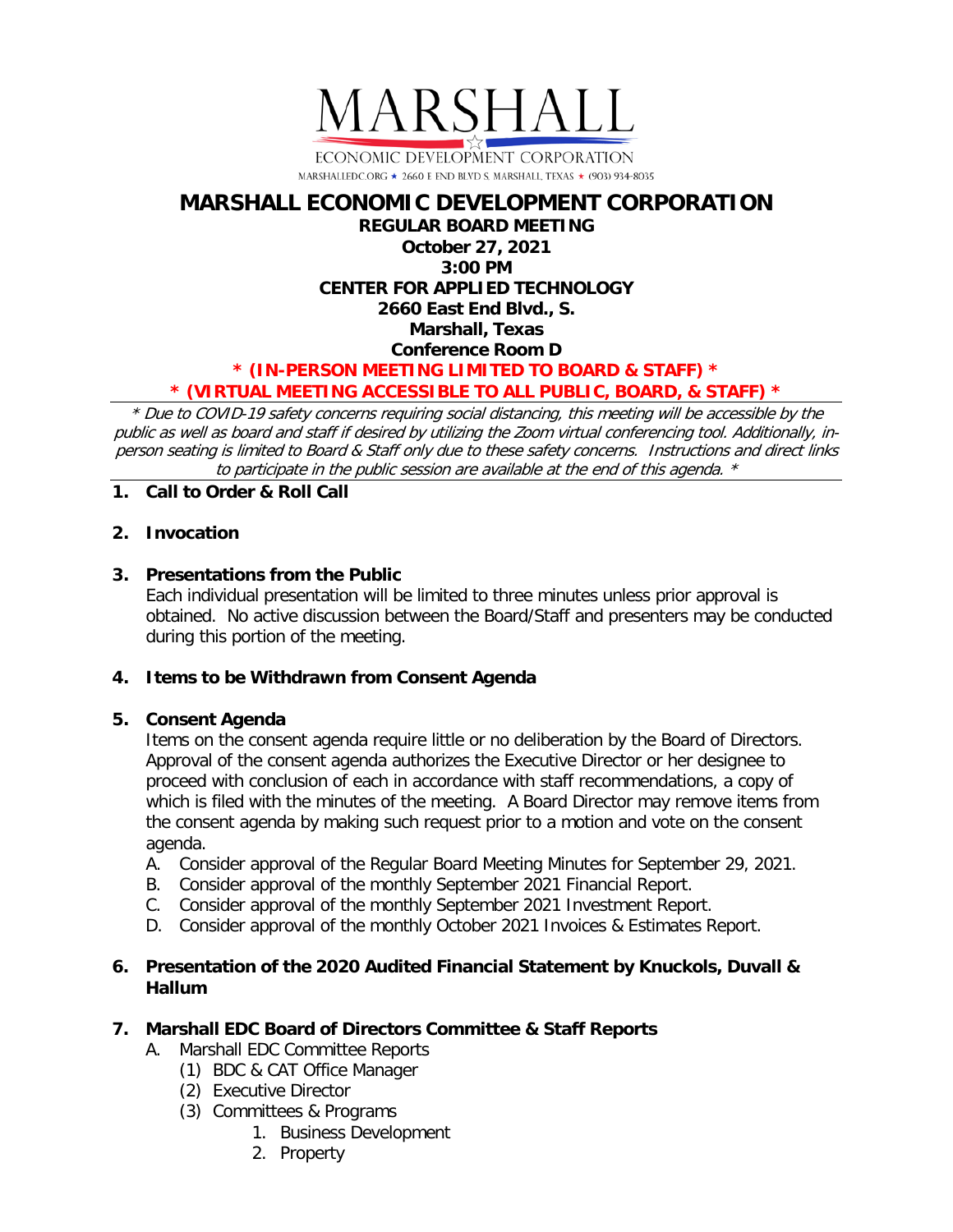

# **MARSHALL ECONOMIC DEVELOPMENT CORPORATION REGULAR BOARD MEETING October 27, 2021 3:00 PM CENTER FOR APPLIED TECHNOLOGY 2660 East End Blvd., S. Marshall, Texas Conference Room D \* (IN-PERSON MEETING LIMITED TO BOARD & STAFF) \* \* (VIRTUAL MEETING ACCESSIBLE TO ALL PUBLIC, BOARD, & STAFF) \***

\* Due to COVID-19 safety concerns requiring social distancing, this meeting will be accessible by the public as well as board and staff if desired by utilizing the Zoom virtual conferencing tool. Additionally, inperson seating is limited to Board & Staff only due to these safety concerns. Instructions and direct links to participate in the public session are available at the end of this agenda. \*

**1. Call to Order & Roll Call**

## **2. Invocation**

## **3. Presentations from the Public**

Each individual presentation will be limited to three minutes unless prior approval is obtained. No active discussion between the Board/Staff and presenters may be conducted during this portion of the meeting.

## **4. Items to be Withdrawn from Consent Agenda**

## **5. Consent Agenda**

Items on the consent agenda require little or no deliberation by the Board of Directors. Approval of the consent agenda authorizes the Executive Director or her designee to proceed with conclusion of each in accordance with staff recommendations, a copy of which is filed with the minutes of the meeting. A Board Director may remove items from the consent agenda by making such request prior to a motion and vote on the consent agenda.

- A. Consider approval of the Regular Board Meeting Minutes for September 29, 2021.
- B. Consider approval of the monthly September 2021 Financial Report.
- C. Consider approval of the monthly September 2021 Investment Report.
- D. Consider approval of the monthly October 2021 Invoices & Estimates Report.

## **6. Presentation of the 2020 Audited Financial Statement by Knuckols, Duvall & Hallum**

#### **7. Marshall EDC Board of Directors Committee & Staff Reports**

- A. Marshall EDC Committee Reports
	- (1) BDC & CAT Office Manager
	- (2) Executive Director
	- (3) Committees & Programs
		- 1. Business Development
		- 2. Property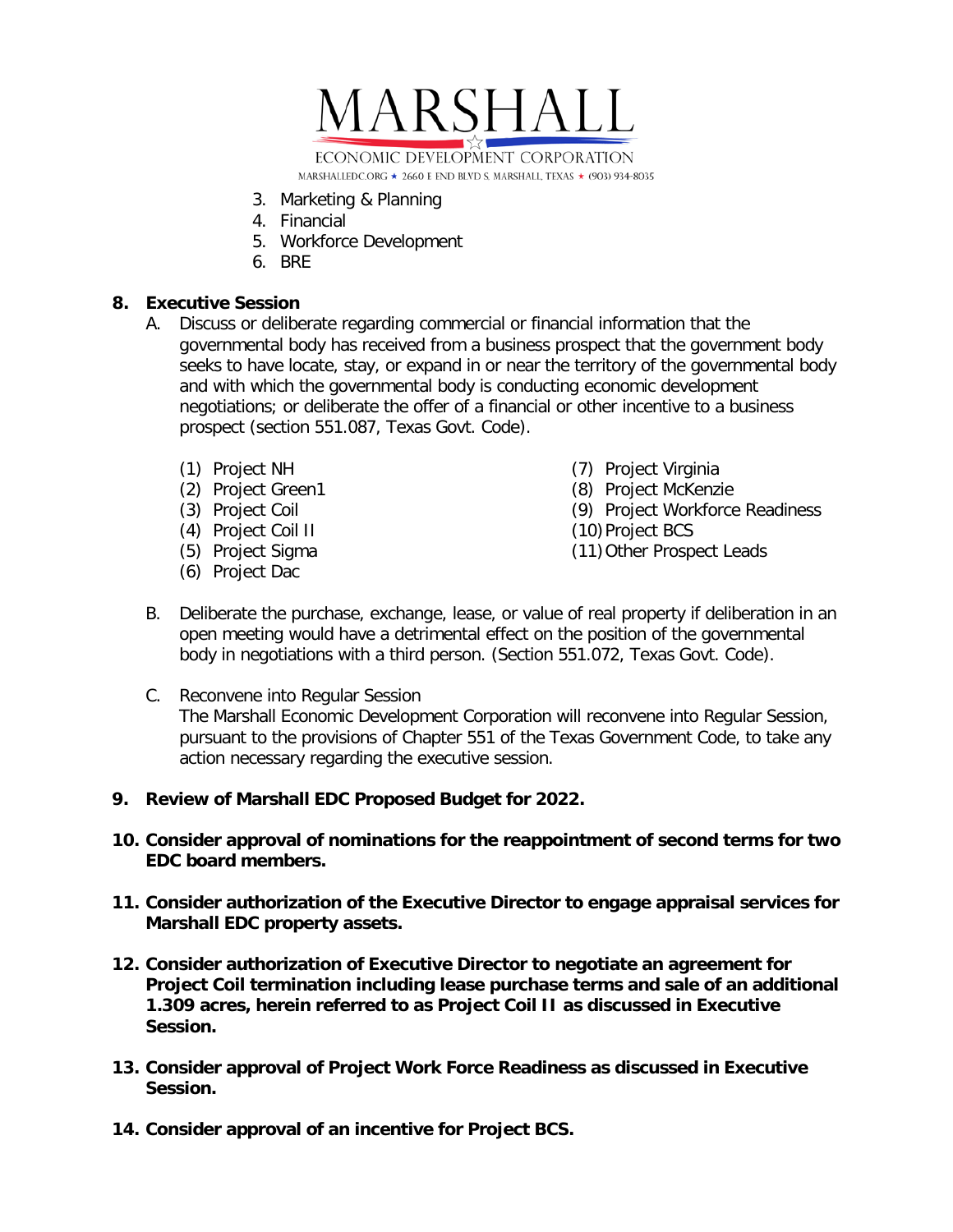

- 3. Marketing & Planning
- 4. Financial
- 5. Workforce Development
- 6. BRE

## **8. Executive Session**

- A. Discuss or deliberate regarding commercial or financial information that the governmental body has received from a business prospect that the government body seeks to have locate, stay, or expand in or near the territory of the governmental body and with which the governmental body is conducting economic development negotiations; or deliberate the offer of a financial or other incentive to a business prospect (section 551.087, Texas Govt. Code).
	- (1) Project NH
	- (2) Project Green1
	- (3) Project Coil
	- (4) Project Coil II
	- (5) Project Sigma
	- (6) Project Dac
- (7) Project Virginia
- (8) Project McKenzie
- (9) Project Workforce Readiness
- (10)Project BCS
- (11)Other Prospect Leads
- B. Deliberate the purchase, exchange, lease, or value of real property if deliberation in an open meeting would have a detrimental effect on the position of the governmental body in negotiations with a third person. (Section 551.072, Texas Govt. Code).
- C. Reconvene into Regular Session The Marshall Economic Development Corporation will reconvene into Regular Session, pursuant to the provisions of Chapter 551 of the Texas Government Code, to take any action necessary regarding the executive session.
- **9. Review of Marshall EDC Proposed Budget for 2022.**
- **10. Consider approval of nominations for the reappointment of second terms for two EDC board members.**
- **11. Consider authorization of the Executive Director to engage appraisal services for Marshall EDC property assets.**
- **12. Consider authorization of Executive Director to negotiate an agreement for Project Coil termination including lease purchase terms and sale of an additional 1.309 acres, herein referred to as Project Coil II as discussed in Executive Session.**
- **13. Consider approval of Project Work Force Readiness as discussed in Executive Session.**
- **14. Consider approval of an incentive for Project BCS.**